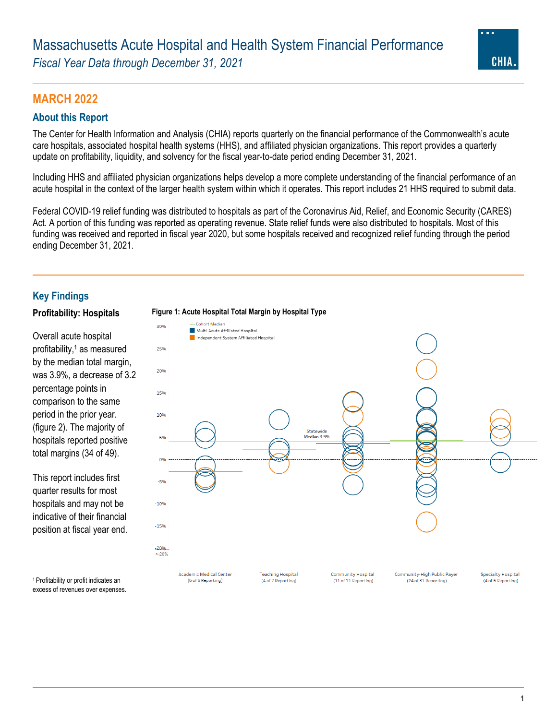*Fiscal Year Data through December 31, 2021*



## **MARCH 2022**

## **About this Report**

The Center for Health Information and Analysis (CHIA) reports quarterly on the financial performance of the Commonwealth's acute care hospitals, associated hospital health systems (HHS), and affiliated physician organizations. This report provides a quarterly update on profitability, liquidity, and solvency for the fiscal year-to-date period ending December 31, 2021.

Including HHS and affiliated physician organizations helps develop a more complete understanding of the financial performance of an acute hospital in the context of the larger health system within which it operates. This report includes 21 HHS required to submit data.

Federal COVID-19 relief funding was distributed to hospitals as part of the Coronavirus Aid, Relief, and Economic Security (CARES) Act. A portion of this funding was reported as operating revenue. State relief funds were also distributed to hospitals. Most of this funding was received and reported in fiscal year 2020, but some hospitals received and recognized relief funding through the period ending December 31, 2021.

## **Key Findings**

Overall acute hospital profitability, <sup>1</sup> as measured by the median total margin, was 3.9%, a decrease of 3.2 percentage points in comparison to the same period in the prior year. (figure 2). The majority of hospitals reported positive total margins (34 of 49).

This report includes first quarter results for most hospitals and may not be indicative of their financial position at fiscal year end.



<sup>1</sup>Profitability or profit indicates an excess of revenues over expenses.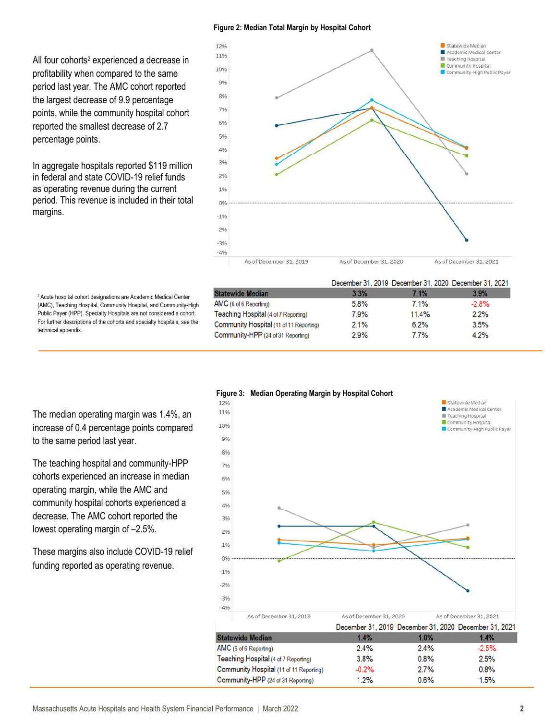#### **Figure 2: Median Total Margin by Hospital Cohort**

All four cohorts<sup>2</sup> experienced a decrease in profitability when compared to the same period last year. The AMC cohort reported the largest decrease of 9.9 percentage points, while the community hospital cohort reported the smallest decrease of 2.7 percentage points.

In aggregate hospitals reported \$119 million in federal and state COVID-19 relief funds as operating revenue during the current period. This revenue is included in their total margins.



<sup>2</sup>Acute hospital cohort designations are Academic Medical Center (AMC), Teaching Hospital, Community Hospital, and Community-High Public Payer (HPP). Specialty Hospitals are not considered a cohort. For further descriptions of the cohorts and specialty hospitals, see the technical appendix.

December 31, 2019 December 31, 2020 December 31, 2021 **Statewide Median**  $3.3%$ 7.1% 3.9% AMC (6 of 6 Reporting) 5.8% 7.1%  $-2.8%$ Teaching Hospital (4 of 7 Reporting) 7.9% 11.4%  $2.2%$ Community Hospital (11 of 11 Reporting)  $2.1%$  $6.2%$  $3.5%$ Community-HPP (24 of 31 Reporting) 7.7% 4.2% 2.9%



The median operating margin was 1.4%, an increase of 0.4 percentage points compared to the same period last year.

The teaching hospital and community-HPP cohorts experienced an increase in median operating margin, while the AMC and community hospital cohorts experienced a decrease. The AMC cohort reported the lowest operating margin of –2.5%.

These margins also include COVID-19 relief funding reported as operating revenue.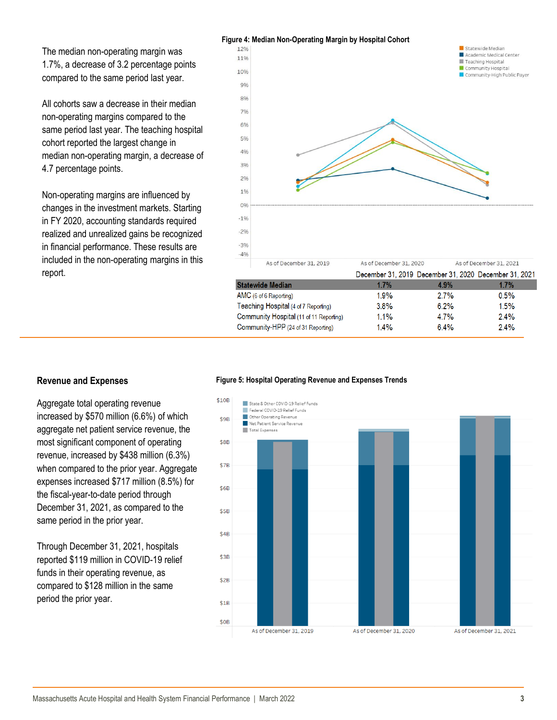The median non-operating margin was 1.7%, a decrease of 3.2 percentage points compared to the same period last year.

All cohorts saw a decrease in their median non-operating margins compared to the same period last year. The teaching hospital cohort reported the largest change in median non-operating margin, a decrease of 4.7 percentage points.

Non-operating margins are influenced by changes in the investment markets. Starting in FY 2020, accounting standards required realized and unrealized gains be recognized in financial performance. These results are included in the non-operating margins in this report.



| December 31, 2019 December 31, 2020 December 31, 2021 |         |
|-------------------------------------------------------|---------|
| 4.9%                                                  | 1.7%    |
| 2.7%                                                  | 0.5%    |
| 6.2%                                                  | 1.5%    |
| 4.7%                                                  | $2.4\%$ |
| 6.4%                                                  | $2.4\%$ |
|                                                       |         |

Aggregate total operating revenue increased by \$570 million (6.6%) of which aggregate net patient service revenue, the most significant component of operating revenue, increased by \$438 million (6.3%) when compared to the prior year. Aggregate expenses increased \$717 million (8.5%) for the fiscal-year-to-date period through December 31, 2021, as compared to the same period in the prior year.

Through December 31, 2021, hospitals reported \$119 million in COVID-19 relief funds in their operating revenue, as compared to \$128 million in the same period the prior year.

#### **Revenue and Expenses Figure 5: Hospital Operating Revenue and Expenses Trends**

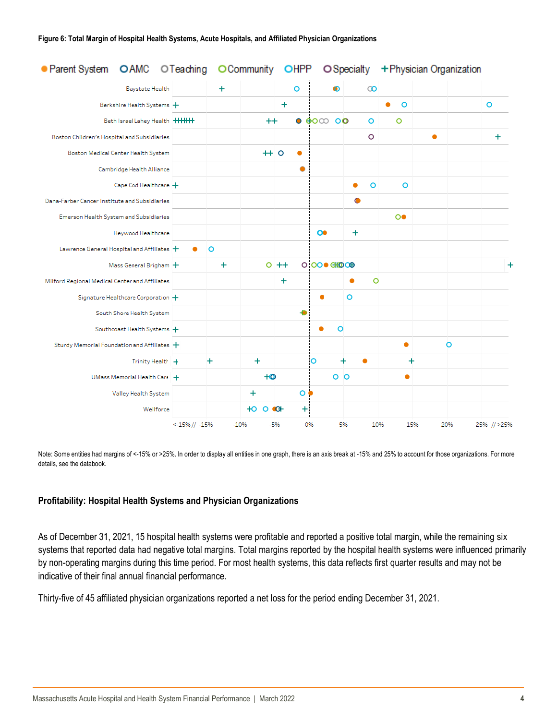| ● Parent System OAMC OTeaching                 |                      |           | O Community     | OHPP       |                                                     | O Specialty     |              | + Physician Organization |             |
|------------------------------------------------|----------------------|-----------|-----------------|------------|-----------------------------------------------------|-----------------|--------------|--------------------------|-------------|
| <b>Baystate Health</b>                         |                      | $\ddot{}$ |                 | $\circ$    | ⋒                                                   | $\infty$        |              |                          |             |
| Berkshire Health Systems +                     |                      |           |                 | $\ddot{}$  |                                                     |                 | $\circ$<br>٠ |                          | $\circ$     |
| Beth Israel Lahey Health   +++++++             |                      |           | $^{\mathrm{+}}$ |            | $\bullet$ $\bullet$ $\circ$ $\circ$ $\circ$ $\circ$ | O               | $\circ$      |                          |             |
| Boston Children's Hospital and Subsidiaries    |                      |           |                 |            |                                                     | $\circ$         |              | ٠                        | $\ddot{}$   |
| Boston Medical Center Health System            |                      |           |                 | $+ 0$<br>٠ |                                                     |                 |              |                          |             |
| Cambridge Health Alliance                      |                      |           |                 |            |                                                     |                 |              |                          |             |
| Cape Cod Healthcare $+$                        |                      |           |                 |            |                                                     | $\circ$<br>٠    | $\circ$      |                          |             |
| Dana-Farber Cancer Institute and Subsidiaries  |                      |           |                 |            |                                                     | O               |              |                          |             |
| Emerson Health System and Subsidiaries         |                      |           |                 |            |                                                     |                 | $\circ$      |                          |             |
| Heywood Healthcare                             |                      |           |                 |            | $\bullet$                                           | $\ddot{}$       |              |                          |             |
| Lawrence General Hospital and Affiliates +     |                      | $\circ$   |                 |            |                                                     |                 |              |                          |             |
| Mass General Brigham +                         |                      | $\ddot{}$ |                 | $0 + +$    | 0 00 0 GHO CO                                       |                 |              |                          | $\ddot{}$   |
| Milford Regional Medical Center and Affiliates |                      |           |                 | ÷          |                                                     | $\circ$<br>٠    |              |                          |             |
| Signature Healthcare Corporation +             |                      |           |                 |            |                                                     | $\circ$         |              |                          |             |
| South Shore Health System                      |                      |           |                 |            |                                                     |                 |              |                          |             |
| Southcoast Health Systems +                    |                      |           |                 |            |                                                     | $\circ$         |              |                          |             |
| Sturdy Memorial Foundation and Affiliates +    |                      |           |                 |            |                                                     |                 | ٠            | O                        |             |
| Trinity Health +                               |                      | ÷         | $\ddot{}$       |            | $\circ$                                             | ٠               | +            |                          |             |
| UMass Memorial Health Care                     |                      |           | $+o$            |            |                                                     | $\circ$ $\circ$ |              |                          |             |
| Valley Health System                           |                      |           | $\ddot{}$       |            | $\circ \bullet$                                     |                 |              |                          |             |
| Wellforce                                      |                      |           | $+0$ 0 $+$      |            | $\pm$                                               |                 |              |                          |             |
|                                                | $< -15\%$ // $-15\%$ |           | $-10%$          | $-5%$      | 0%                                                  | 5%              | 10%<br>15%   | 20%                      | 25% // >25% |

Note: Some entities had margins of <-15% or >25%. In order to display all entities in one graph, there is an axis break at -15% and 25% to account for those organizations. For more details, see the databook.

## **Profitability: Hospital Health Systems and Physician Organizations**

As of December 31, 2021, 15 hospital health systems were profitable and reported a positive total margin, while the remaining six systems that reported data had negative total margins. Total margins reported by the hospital health systems were influenced primarily by non-operating margins during this time period. For most health systems, this data reflects first quarter results and may not be indicative of their final annual financial performance.

Thirty-five of 45 affiliated physician organizations reported a net loss for the period ending December 31, 2021.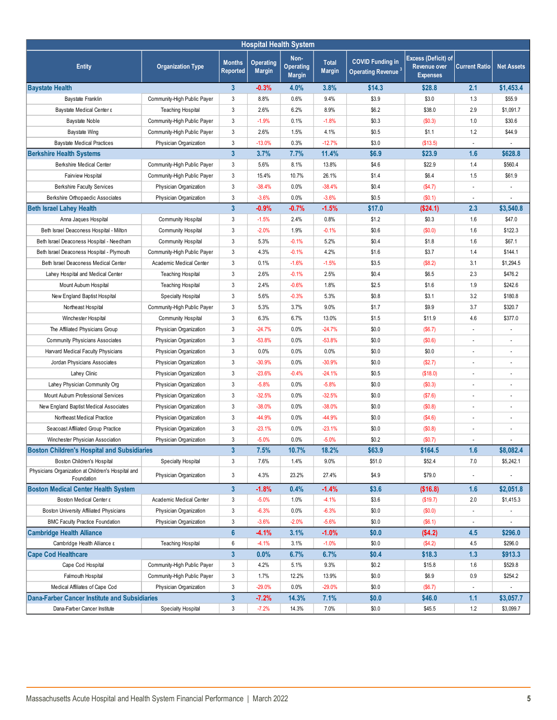| <b>Hospital Health System</b>                                    |                             |                                  |                            |                                           |                               |                                                           |                                                               |                          |                   |
|------------------------------------------------------------------|-----------------------------|----------------------------------|----------------------------|-------------------------------------------|-------------------------------|-----------------------------------------------------------|---------------------------------------------------------------|--------------------------|-------------------|
| <b>Entity</b>                                                    | <b>Organization Type</b>    | <b>Months</b><br><b>Reported</b> | Operating<br><b>Margin</b> | Non-<br><b>Operating</b><br><b>Margin</b> | <b>Total</b><br><b>Margin</b> | <b>COVID Funding in</b><br>Operating Revenue <sup>3</sup> | <b>Excess (Deficit) of</b><br>Revenue over<br><b>Expenses</b> | <b>Current Ratio</b>     | <b>Net Assets</b> |
| <b>Baystate Health</b>                                           |                             | 3 <sup>5</sup>                   | $-0.3%$                    | 4.0%                                      | 3.8%                          | \$14.3                                                    | \$28.8                                                        | 2.1                      | \$1,453.4         |
| Baystate Franklin                                                | Community-High Public Payer | 3                                | 8.8%                       | 0.6%                                      | 9.4%                          | \$3.9                                                     | \$3.0                                                         | 1.3                      | \$55.9            |
| Baystate Medical Center &                                        | <b>Teaching Hospital</b>    | 3                                | 2.6%                       | 6.2%                                      | 8.9%                          | \$6.2                                                     | \$38.0                                                        | 2.9                      | \$1,091.7         |
| <b>Baystate Noble</b>                                            | Community-High Public Payer | 3                                | $-1.9%$                    | 0.1%                                      | $-1.8%$                       | \$0.3                                                     | (\$0.3)                                                       | 1.0                      | \$30.6            |
| <b>Baystate Wing</b>                                             | Community-High Public Payer | 3                                | 2.6%                       | 1.5%                                      | 4.1%                          | \$0.5                                                     | \$1.1                                                         | 1.2                      | \$44.9            |
| <b>Baystate Medical Practices</b>                                | Physician Organization      | 3                                | $-13.0%$                   | 0.3%                                      | $-12.7%$                      | \$3.0                                                     | (\$13.5)                                                      | ÷,                       |                   |
| <b>Berkshire Health Systems</b>                                  |                             | $\overline{3}$                   | 3.7%                       | 7.7%                                      | 11.4%                         | \$6.9                                                     | \$23.9                                                        | 1.6                      | \$628.8           |
| <b>Berkshire Medical Center</b>                                  | Community-High Public Payer | 3                                | 5.6%                       | 8.1%                                      | 13.8%                         | \$4.6                                                     | \$22.9                                                        | 1.4                      | \$560.4           |
| Fairview Hospital                                                | Community-High Public Payer | 3                                | 15.4%                      | 10.7%                                     | 26.1%                         | \$1.4                                                     | \$6.4                                                         | 1.5                      | \$61.9            |
| <b>Berkshire Faculty Services</b>                                | Physician Organization      | 3                                | $-38.4%$                   | 0.0%                                      | $-38.4%$                      | \$0.4                                                     | (\$4.7)                                                       | ÷,                       |                   |
| Berkshire Orthopaedic Associates                                 | Physician Organization      | 3                                | $-3.6%$                    | 0.0%                                      | $-3.6%$                       | \$0.5                                                     | (S0.1)                                                        | $\overline{\phantom{a}}$ |                   |
| <b>Beth Israel Lahey Health</b>                                  |                             | $\overline{3}$                   | $-0.9%$                    | $-0.7%$                                   | $-1.5%$                       | \$17.0                                                    | (\$24.1)                                                      | 2.3                      | \$3,540.8         |
| Anna Jaques Hospital                                             | <b>Community Hospital</b>   | 3                                | $-1.5%$                    | 2.4%                                      | 0.8%                          | \$1.2                                                     | \$0.3                                                         | 1.6                      | \$47.0            |
| Beth Israel Deaconess Hospital - Milton                          | <b>Community Hospital</b>   | 3                                | $-2.0%$                    | 1.9%                                      | $-0.1%$                       | \$0.6                                                     | (\$0.0)                                                       | 1.6                      | \$122.3           |
| Beth Israel Deaconess Hospital - Needham                         | <b>Community Hospital</b>   | 3                                | 5.3%                       | $-0.1%$                                   | 5.2%                          | \$0.4                                                     | \$1.8                                                         | 1.6                      | \$67.1            |
| Beth Israel Deaconess Hospital - Plymouth                        | Community-High Public Payer | 3                                | 4.3%                       | $-0.1%$                                   | 4.2%                          | \$1.6                                                     | \$3.7                                                         | 1.4                      | \$144.1           |
| Beth Israel Deaconess Medical Center                             | Academic Medical Center     | 3                                | 0.1%                       | $-1.6%$                                   | $-1.5%$                       | \$3.5                                                     | (\$8.2)                                                       | 3.1                      | \$1.294.5         |
| Lahey Hospital and Medical Center                                | <b>Teaching Hospital</b>    | 3                                | 2.6%                       | $-0.1%$                                   | 2.5%                          | \$0.4                                                     | \$6.5                                                         | 2.3                      | \$476.2           |
| Mount Aubum Hospital                                             | <b>Teaching Hospital</b>    | 3                                | 2.4%                       | $-0.6%$                                   | 1.8%                          | \$2.5                                                     | \$1.6                                                         | 1.9                      | \$242.6           |
| New England Baptist Hospital                                     | Specialty Hospital          | 3                                | 5.6%                       | $-0.3%$                                   | 5.3%                          | \$0.8                                                     | \$3.1                                                         | 3.2                      | \$180.8           |
| Northeast Hospital                                               | Community-High Public Payer | 3                                | 5.3%                       | 3.7%                                      | 9.0%                          | \$1.7                                                     | \$9.9                                                         | 3.7                      | \$320.7           |
| Winchester Hospital                                              | <b>Community Hospital</b>   | 3                                | 6.3%                       | 6.7%                                      | 13.0%                         | \$1.5                                                     | \$11.9                                                        | 4.6                      | \$377.0           |
| The Affiliated Physicians Group                                  | Physician Organization      | 3                                | $-24.7%$                   | 0.0%                                      | $-24.7%$                      | \$0.0                                                     | (\$6.7)                                                       | ÷,                       |                   |
| <b>Community Physicians Associates</b>                           | Physician Organization      | 3                                | $-53.8%$                   | 0.0%                                      | $-53.8%$                      | \$0.0                                                     | (\$0.6)                                                       | $\overline{\phantom{a}}$ |                   |
| Harvard Medical Faculty Physicians                               | Physician Organization      | 3                                | 0.0%                       | 0.0%                                      | 0.0%                          | \$0.0                                                     | \$0.0                                                         | $\overline{\phantom{a}}$ |                   |
| Jordan Physicians Associates                                     | Physician Organization      | 3                                | $-30.9%$                   | 0.0%                                      | $-30.9%$                      | \$0.0                                                     | (\$2.7)                                                       | $\overline{\phantom{a}}$ |                   |
| Lahey Clinic                                                     | Physician Organization      | 3                                | $-23.6%$                   | $-0.4%$                                   | $-24.1%$                      | \$0.5                                                     | (\$18.0)                                                      | $\overline{\phantom{a}}$ |                   |
| Lahey Physician Community Org                                    | Physician Organization      | 3                                | $-5.8%$                    | 0.0%                                      | $-5.8%$                       | \$0.0                                                     | (\$0.3)                                                       | $\overline{\phantom{a}}$ |                   |
| Mount Auburn Professional Services                               | Physician Organization      | 3                                | $-32.5%$                   | 0.0%                                      | $-32.5%$                      | \$0.0                                                     | (\$7.6)                                                       | $\overline{\phantom{a}}$ |                   |
| New England Baptist Medical Associates                           | Physician Organization      | 3                                | $-38.0%$                   | 0.0%                                      | $-38.0%$                      | \$0.0                                                     | (\$0.8)                                                       | $\overline{\phantom{a}}$ |                   |
| Northeast Medical Practice                                       | Physician Organization      | 3                                | -44.9%                     | 0.0%                                      | -44.9%                        | \$0.0                                                     | (\$4.6)                                                       | $\overline{\phantom{a}}$ |                   |
| Seacoast Affiliated Group Practice                               | Physician Organization      | 3                                | $-23.1%$                   | 0.0%                                      | $-23.1%$                      | \$0.0                                                     | (\$0.8)                                                       |                          |                   |
| Winchester Physician Association                                 | Physician Organization      | 3                                | $-5.0%$                    | 0.0%                                      | $-5.0%$                       | \$0.2                                                     | (\$0.7)                                                       | ÷,                       |                   |
| <b>Boston Children's Hospital and Subsidiaries</b>               |                             | $\mathbf{3}$                     | 7.5%                       | 10.7%                                     | 18.2%                         | \$63.9                                                    | \$164.5                                                       | 1.6                      | \$8,082.4         |
| Boston Children's Hospital                                       | Specialty Hospital          | 3                                | 7.6%                       | 1.4%                                      | 9.0%                          | \$51.0                                                    | \$52.4                                                        | 7.0                      | \$5,242.1         |
| Physicians Organization at Children's Hospital and<br>Foundation | Physician Organization      | 3                                | 4.3%                       | 23.2%                                     | 27.4%                         | \$4.9                                                     | \$79.0                                                        | $\overline{\phantom{a}}$ |                   |
| <b>Boston Medical Center Health System</b>                       |                             | $\overline{3}$                   | $-1.8%$                    | 0.4%                                      | $-1.4%$                       | \$3.6                                                     | (\$16.8)                                                      | 1.6                      | \$2,051.8         |
| Boston Medical Center ε                                          | Academic Medical Center     | 3                                | $-5.0%$                    | 1.0%                                      | $-4.1%$                       | \$3.6                                                     | (\$19.7)                                                      | 2.0                      | \$1,415.3         |
| Boston University Affiliated Physicians                          | Physician Organization      | 3                                | $-6.3%$                    | 0.0%                                      | $-6.3%$                       | \$0.0                                                     | (\$0.0)                                                       |                          |                   |
| <b>BMC Faculty Practice Foundation</b>                           | Physician Organization      | 3                                | $-3.6%$                    | $-2.0%$                                   | $-5.6%$                       | \$0.0                                                     | (\$6.1)                                                       |                          |                   |
| <b>Cambridge Health Alliance</b>                                 |                             | $6\phantom{a}$                   | $-4.1%$                    | 3.1%                                      | $-1.0%$                       | \$0.0                                                     | (\$4.2)                                                       | 4.5                      | \$296.0           |
| Cambridge Health Alliance ε                                      | <b>Teaching Hospital</b>    | 6                                | $-4.1%$                    | 3.1%                                      | $-1.0%$                       | \$0.0                                                     | (\$4.2)                                                       | 4.5                      | \$296.0           |
| <b>Cape Cod Healthcare</b>                                       |                             | $\mathbf{3}$                     | 0.0%                       | 6.7%                                      | 6.7%                          | \$0.4                                                     | \$18.3                                                        | 1.3                      | \$913.3           |
| Cape Cod Hospital                                                | Community-High Public Payer | 3                                | 4.2%                       | 5.1%                                      | 9.3%                          | \$0.2                                                     | \$15.8                                                        | 1.6                      | \$529.8           |
| Falmouth Hospital                                                | Community-High Public Payer | 3                                | 1.7%                       | 12.2%                                     | 13.9%                         | \$0.0                                                     | \$6.9                                                         | 0.9                      | \$254.2           |
| Medical Affiliates of Cape Cod                                   | Physician Organization      | 3                                | $-29.0%$                   | 0.0%                                      | $-29.0%$                      | \$0.0                                                     | (\$6.7)                                                       |                          |                   |
| <b>Dana-Farber Cancer Institute and Subsidiaries</b>             |                             | $\mathbf{3}$                     | $-7.2%$                    | 14.3%                                     | 7.1%                          | \$0.0                                                     | \$46.0                                                        | 1.1                      | \$3,057.7         |
| Dana-Farber Cancer Institute                                     | <b>Specialty Hospital</b>   | 3                                | $-7.2%$                    | 14.3%                                     | 7.0%                          | \$0.0                                                     | \$45.5                                                        | 1.2                      | \$3,099.7         |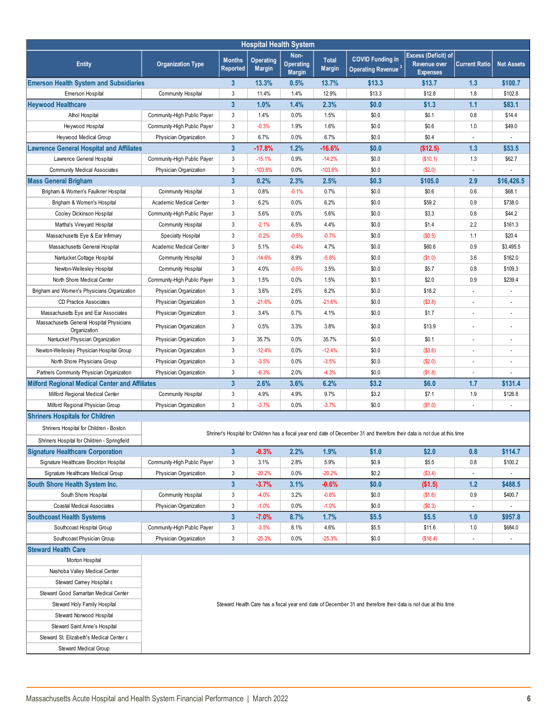| <b>Hospital Health System</b>                             |                                                                                                                |                           |                                   |                                           |                               |                                                                                                                            |                                                        |                          |                          |
|-----------------------------------------------------------|----------------------------------------------------------------------------------------------------------------|---------------------------|-----------------------------------|-------------------------------------------|-------------------------------|----------------------------------------------------------------------------------------------------------------------------|--------------------------------------------------------|--------------------------|--------------------------|
| <b>Entity</b>                                             | <b>Organization Type</b>                                                                                       | <b>Months</b><br>Reported | <b>Operating</b><br><b>Margin</b> | Non-<br><b>Operating</b><br><b>Margin</b> | <b>Total</b><br><b>Margin</b> | <b>COVID Funding in</b><br>Operating Revenue <sup>3</sup>                                                                  | Excess (Deficit) of<br>Revenue over<br><b>Expenses</b> | <b>Current Ratio</b>     | <b>Net Assets</b>        |
| <b>Emerson Health System and Subsidiaries</b>             |                                                                                                                | $\mathbf{3}$              | 13.3%                             | 0.5%                                      | 13.7%                         | \$13.3                                                                                                                     | \$13.7                                                 | 1.3                      | \$100.7                  |
| Emerson Hospital                                          | <b>Community Hospital</b>                                                                                      | 3                         | 11.4%                             | 1.4%                                      | 12.9%                         | \$13.3                                                                                                                     | \$12.8                                                 | 1.8                      | \$102.8                  |
| <b>Heywood Healthcare</b>                                 |                                                                                                                | $\mathbf{3}$              | 1.0%                              | 1.4%                                      | 2.3%                          | \$0.0                                                                                                                      | \$1.3                                                  | 1.1                      | \$83.1                   |
| Athol Hospital                                            | Community-High Public Payer                                                                                    | 3                         | 1.4%                              | 0.0%                                      | 1.5%                          | \$0.0                                                                                                                      | \$0.1                                                  | 0.8                      | \$14.4                   |
| Heywood Hospital                                          | Community-High Public Payer                                                                                    | 3                         | $-0.3%$                           | 1.9%                                      | 1.6%                          | \$0.0                                                                                                                      | \$0.6                                                  | 1.0                      | \$49.0                   |
| Heywood Medical Group                                     | Physician Organization                                                                                         | 3                         | 6.7%                              | 0.0%                                      | 6.7%                          | \$0.0                                                                                                                      | \$0.4                                                  | $\overline{\phantom{a}}$ |                          |
| <b>Lawrence General Hospital and Affiliates</b>           |                                                                                                                | $\mathbf{3}$              | $-17.8%$                          | 1.2%                                      | $-16.6%$                      | \$0.0                                                                                                                      | (\$12.5)                                               | 1.3                      | \$53.5                   |
| Lawrence General Hospital                                 | Community-High Public Payer                                                                                    | 3                         | $-15.1%$                          | 0.9%                                      | $-14.2%$                      | \$0.0                                                                                                                      | (\$10.1)                                               | 1.3                      | \$62.7                   |
| <b>Community Medical Associates</b>                       | Physician Organization                                                                                         | 3                         | $-103.6%$                         | 0.0%                                      | $-103.6%$                     | \$0.0                                                                                                                      | (\$2.0)                                                | $\overline{\phantom{a}}$ |                          |
| <b>Mass General Brigham</b>                               |                                                                                                                | $\overline{\mathbf{3}}$   | 0.2%                              | 2.3%                                      | 2.5%                          | \$0.3                                                                                                                      | \$105.0                                                | 2.9                      | \$16,426.5               |
| Brigham & Women's Faulkner Hospital                       | <b>Community Hospital</b>                                                                                      | 3                         | 0.8%                              | $-0.1%$                                   | 0.7%                          | \$0.0                                                                                                                      | \$0.6                                                  | 0.6                      | \$68.1                   |
| Brigham & Women's Hospital                                | Academic Medical Center                                                                                        | 3                         | 6.2%                              | 0.0%                                      | 6.2%                          | \$0.0                                                                                                                      | \$59.2                                                 | 0.9                      | \$738.0                  |
| Cooley Dickinson Hospital                                 | Community-High Public Payer                                                                                    | 3                         | 5.6%                              | 0.0%                                      | 5.6%                          | \$0.0                                                                                                                      | \$3.3                                                  | 0.8                      | \$44.2                   |
| Martha's Vineyard Hospital                                | <b>Community Hospital</b>                                                                                      | 3                         | $-2.1%$                           | 6.5%                                      | 4.4%                          | \$0.0                                                                                                                      | \$1.4                                                  | 2.2                      | \$161.3                  |
| Massachusetts Eye & Ear Infirmary                         | Specialty Hospital                                                                                             | 3                         | $-0.2%$                           | $-0.5%$                                   | $-0.7%$                       | \$0.0                                                                                                                      | (S0.5)                                                 | 1.1                      | \$20.4                   |
| Massachusetts General Hospital                            | Academic Medical Center                                                                                        | 3                         | 5.1%                              | $-0.4%$                                   | 4.7%                          | \$0.0                                                                                                                      | \$60.6                                                 | 0.9                      | \$3,495.5                |
| Nantucket Cottage Hospital                                | <b>Community Hospital</b>                                                                                      | 3                         | $-14.6%$                          | 8.9%                                      | $-5.8%$                       | \$0.0                                                                                                                      | (\$1.0)                                                | 3.6                      | \$162.0                  |
| Newton-Wellesley Hospital                                 | <b>Community Hospital</b>                                                                                      | 3                         | 4.0%                              | $-0.5%$                                   | 3.5%                          | \$0.0                                                                                                                      | \$5.7                                                  | 0.8                      | \$109.3                  |
| North Shore Medical Center                                | Community-High Public Payer                                                                                    | 3                         | 1.5%                              | 0.0%                                      | 1.5%                          | \$0.1                                                                                                                      | \$2.0                                                  | 0.9                      | \$239.4                  |
| Brigham and Women's Physicians Organization               | Physician Organization                                                                                         | 3                         | 3.6%                              | 2.6%                                      | 6.2%                          | \$0.0                                                                                                                      | \$18.2                                                 |                          |                          |
| <b>CD Practice Associates</b>                             | Physician Organization                                                                                         | 3                         | $-21.6%$                          | 0.0%                                      | $-21.6%$                      | \$0.0                                                                                                                      | (S3.8)                                                 |                          |                          |
| Massachusetts Eye and Ear Associates                      | Physician Organization                                                                                         | 3                         | 3.4%                              | 0.7%                                      | 4.1%                          | \$0.0                                                                                                                      | \$1.7                                                  |                          |                          |
| Massachusetts General Hospital Physicians<br>Organization | Physician Organization                                                                                         | 3                         | 0.5%                              | 3.3%                                      | 3.8%                          | \$0.0                                                                                                                      | \$13.9                                                 |                          |                          |
| Nantucket Physician Organization                          | Physician Organization                                                                                         | 3                         | 35.7%                             | 0.0%                                      | 35.7%                         | \$0.0                                                                                                                      | \$0.1                                                  |                          |                          |
| Newton-Wellesley Physician Hospital Group                 | Physician Organization                                                                                         | 3                         | $-12.4%$                          | 0.0%                                      | $-12.4%$                      | \$0.0                                                                                                                      | (\$3.6)                                                |                          |                          |
| North Shore Physicians Group                              | Physician Organization                                                                                         | 3                         | $-3.5%$                           | 0.0%                                      | $-3.5%$                       | \$0.0                                                                                                                      | (\$2.0)                                                |                          |                          |
| Partners Community Physician Organization                 | Physician Organization                                                                                         | 3                         | $-6.3%$                           | 2.0%                                      | $-4.3%$                       | \$0.0                                                                                                                      | (\$1.8)                                                |                          |                          |
| <b>Milford Regional Medical Center and Affiliates</b>     |                                                                                                                | $\overline{3}$            | 2.6%                              | 3.6%                                      | 6.2%                          | \$3.2                                                                                                                      | \$6.0                                                  | 1.7                      | \$131.4                  |
| Milford Regional Medical Center                           | <b>Community Hospital</b>                                                                                      | 3                         | 4.9%                              | 4.9%                                      | 9.7%                          | \$3.2                                                                                                                      | \$7.1                                                  | 1.9                      | \$126.8                  |
| Milford Regional Physician Group                          | Physician Organization                                                                                         | 3                         | $-3.7%$                           | 0.0%                                      | $-3.7%$                       | \$0.0                                                                                                                      | (\$1.0)                                                |                          |                          |
| <b>Shriners Hospitals for Children</b>                    |                                                                                                                |                           |                                   |                                           |                               |                                                                                                                            |                                                        |                          |                          |
| Shriners Hospital for Children - Boston                   |                                                                                                                |                           |                                   |                                           |                               | Shriner's Hospital for Children has a fiscal year end date of December 31 and therefore their data is not due at this time |                                                        |                          |                          |
| Shriners Hospital for Children - Springfield              |                                                                                                                |                           |                                   |                                           |                               |                                                                                                                            |                                                        |                          |                          |
| <b>Signature Healthcare Corporation</b>                   |                                                                                                                | $\mathbf{3}$              | $-0.3%$                           | 2.2%                                      | 1.9%                          | \$1.0                                                                                                                      | \$2.0                                                  | 0.8                      | \$114.7                  |
| Signature Healthcare Brockton Hospital                    | Community-High Public Payer                                                                                    | 3                         | 3.1%                              | 2.8%                                      | 5.9%                          | \$0.9                                                                                                                      | \$5.5                                                  | 0.8                      | \$100.2                  |
| Signature Healthcare Medical Group                        | Physician Organization                                                                                         | 3                         | $-20.2%$                          | 0.0%                                      | $-20.2%$                      | \$0.2                                                                                                                      | (\$3.4)                                                | $\overline{\phantom{a}}$ |                          |
| South Shore Health System Inc.                            |                                                                                                                | $\mathbf{3}$              | $-3.7%$                           | 3.1%                                      | $-0.6%$                       | \$0.0                                                                                                                      | (\$1.5)                                                | $1.2$                    | \$488.5                  |
| South Shore Hospital                                      | Community Hospital                                                                                             | 3                         | $-4.0%$                           | 3.2%                                      | $-0.8%$                       | \$0.0                                                                                                                      | (\$1.6)                                                | 0.9                      | \$400.7                  |
| Coastal Medical Associates                                | Physician Organization                                                                                         | 3                         | $-1.0%$                           | 0.0%                                      | $-1.0%$                       | \$0.0                                                                                                                      | (\$0.3)                                                | $\overline{\phantom{a}}$ |                          |
| <b>Southcoast Health Systems</b>                          |                                                                                                                | $\mathbf{3}$              | $-7.0%$                           | 8.7%                                      | 1.7%                          | \$5.5\$                                                                                                                    | \$5.5                                                  | 1.0                      | \$957.8                  |
| Southcoast Hospital Group                                 | Community-High Public Payer                                                                                    | 3                         | $-3.5%$                           | 8.1%                                      | 4.6%                          | \$5.5                                                                                                                      | \$11.6                                                 | 1.0                      | \$684.0                  |
| Southcoast Physician Group                                | Physician Organization                                                                                         | 3                         | -25.3%                            | 0.0%                                      | $-25.3%$                      | \$0.0                                                                                                                      | (\$16.4)                                               | $\overline{\phantom{a}}$ | $\overline{\phantom{a}}$ |
| <b>Steward Health Care</b>                                |                                                                                                                |                           |                                   |                                           |                               |                                                                                                                            |                                                        |                          |                          |
| Morton Hospital                                           |                                                                                                                |                           |                                   |                                           |                               |                                                                                                                            |                                                        |                          |                          |
| Nashoba Valley Medical Center                             |                                                                                                                |                           |                                   |                                           |                               |                                                                                                                            |                                                        |                          |                          |
| Steward Carney Hospital ε                                 |                                                                                                                |                           |                                   |                                           |                               |                                                                                                                            |                                                        |                          |                          |
| Steward Good Samaritan Medical Center                     |                                                                                                                |                           |                                   |                                           |                               |                                                                                                                            |                                                        |                          |                          |
| Steward Holy Family Hospital                              | Steward Health Care has a fiscal year end date of December 31 and therefore their data is not due at this time |                           |                                   |                                           |                               |                                                                                                                            |                                                        |                          |                          |
| Steward Norwood Hospital                                  |                                                                                                                |                           |                                   |                                           |                               |                                                                                                                            |                                                        |                          |                          |
| Steward Saint Anne's Hospital                             |                                                                                                                |                           |                                   |                                           |                               |                                                                                                                            |                                                        |                          |                          |
| Steward St. Elizabeth's Medical Center ε                  |                                                                                                                |                           |                                   |                                           |                               |                                                                                                                            |                                                        |                          |                          |
| Steward Medical Group                                     |                                                                                                                |                           |                                   |                                           |                               |                                                                                                                            |                                                        |                          |                          |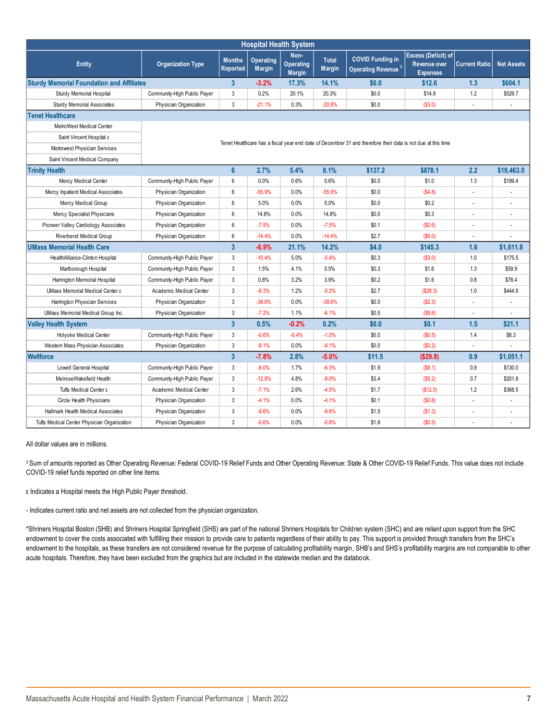| <b>Hospital Health System</b>                    |                             |                                                                                                             |                                   |                                           |                               |                                                           |                                                               |                      |                   |  |
|--------------------------------------------------|-----------------------------|-------------------------------------------------------------------------------------------------------------|-----------------------------------|-------------------------------------------|-------------------------------|-----------------------------------------------------------|---------------------------------------------------------------|----------------------|-------------------|--|
| <b>Entity</b>                                    | <b>Organization Type</b>    | <b>Months</b><br>Reported                                                                                   | <b>Operating</b><br><b>Margin</b> | Non-<br><b>Operating</b><br><b>Margin</b> | <b>Total</b><br><b>Margin</b> | <b>COVID Funding in</b><br>Operating Revenue <sup>3</sup> | Excess (Deficit) of<br><b>Revenue over</b><br><b>Expenses</b> | <b>Current Ratio</b> | <b>Net Assets</b> |  |
| <b>Sturdy Memorial Foundation and Affiliates</b> |                             | 3                                                                                                           | $-3.2%$                           | 17.3%                                     | 14.1%                         | \$0.0                                                     | \$12.6                                                        | 1.3                  | \$604.1           |  |
| Sturdy Memorial Hospital                         | Community-High Public Payer | 3                                                                                                           | 0.2%                              | 20.1%                                     | 20.3%                         | \$0.0                                                     | \$14.8                                                        | 1.2                  | \$529.7           |  |
| <b>Sturdy Memorial Associates</b>                | Physician Organization      | 3                                                                                                           | $-21.1%$                          | 0.3%                                      | $-20.8%$                      | \$0.0\$                                                   | (S3.0)                                                        | ÷,                   |                   |  |
| <b>Tenet Healthcare</b>                          |                             |                                                                                                             |                                   |                                           |                               |                                                           |                                                               |                      |                   |  |
| MetroWest Medical Center                         |                             |                                                                                                             |                                   |                                           |                               |                                                           |                                                               |                      |                   |  |
| Saint Vincent Hospital ε                         |                             | Tenet Healthcare has a fiscal year end date of December 31 and therefore their data is not due at this time |                                   |                                           |                               |                                                           |                                                               |                      |                   |  |
| Metrowest Physician Services                     |                             |                                                                                                             |                                   |                                           |                               |                                                           |                                                               |                      |                   |  |
| Saint Vincent Medical Company                    |                             |                                                                                                             |                                   |                                           |                               |                                                           |                                                               |                      |                   |  |
| <b>Trinity Health</b>                            |                             | $6\phantom{a}$                                                                                              | 2.7%                              | 5.4%                                      | 8.1%                          | \$137.2                                                   | \$878.1                                                       | 2.2                  | \$19,463.0        |  |
| Mercy Medical Center                             | Community-High Public Payer | 6                                                                                                           | 0.0%                              | 0.6%                                      | 0.6%                          | \$0.0                                                     | \$1.0                                                         | 1.3                  | \$199.4           |  |
| Mercy Inpatient Medical Associates               | Physician Organization      | 6                                                                                                           | $-55.9%$                          | 0.0%                                      | $-55.9%$                      | \$0.0                                                     | (S4.8)                                                        | ÷,                   |                   |  |
| Mercy Medical Group                              | Physician Organization      | 6                                                                                                           | 5.0%                              | 0.0%                                      | 5.0%                          | \$0.0                                                     | \$0.2                                                         | $\overline{a}$       |                   |  |
| Mercy Specialist Physicians                      | Physician Organization      | 6                                                                                                           | 14.8%                             | 0.0%                                      | 14.8%                         | \$0.0                                                     | \$0.3                                                         | ÷,                   |                   |  |
| Pioneer Valley Cardiology Associates             | Physician Organization      | 6                                                                                                           | $-7.5%$                           | 0.0%                                      | $-7.5%$                       | \$0.1                                                     | (\$0.6)                                                       | ÷,                   |                   |  |
| Riverbend Medical Group                          | Physician Organization      | 6                                                                                                           | $-14.4%$                          | 0.0%                                      | $-14.4%$                      | \$2.7                                                     | (\$6.0)                                                       | ÷                    |                   |  |
| <b>UMass Memorial Health Care</b>                |                             | $\overline{\mathbf{3}}$                                                                                     | $-6.9%$                           | 21.1%                                     | 14.2%                         | \$4.0                                                     | \$145.3                                                       | 1.6                  | \$1,611.8         |  |
| HealthAlliance-Clinton Hospital                  | Community-High Public Payer | 3                                                                                                           | $-10.4%$                          | 5.0%                                      | $-5.4%$                       | \$0.3                                                     | (\$3.0)                                                       | 1.0                  | \$175.5           |  |
| Marlborough Hospital                             | Community-High Public Payer | 3                                                                                                           | 1.5%                              | 4.1%                                      | 5.5%                          | \$0.3                                                     | \$1.6                                                         | 1.3                  | \$59.9            |  |
| Harrington Memorial Hospital                     | Community-High Public Payer | 3                                                                                                           | 0.8%                              | 3.2%                                      | 3.9%                          | \$0.2\$                                                   | \$1.6                                                         | 0.8                  | \$78.4            |  |
| UMass Memorial Medical Center $\varepsilon$      | Academic Medical Center     | 3                                                                                                           | $-6.3%$                           | 1.2%                                      | $-5.2%$                       | \$2.7                                                     | (\$28.3)                                                      | 1.0                  | \$444.9           |  |
| Harrington Physician Services                    | Physician Organization      | 3                                                                                                           | $-38.6%$                          | 0.0%                                      | $-38.6%$                      | \$0.0                                                     | (S2.3)                                                        | $\overline{a}$       |                   |  |
| UMass Memorial Medical Group Inc.                | Physician Organization      | 3                                                                                                           | $-7.2%$                           | 1.1%                                      | $-6.1%$                       | \$0.5                                                     | (S9.8)                                                        |                      |                   |  |
| <b>Valley Health System</b>                      |                             | $\overline{3}$                                                                                              | 0.5%                              | $-0.2%$                                   | 0.2%                          | \$0.0                                                     | \$0.1                                                         | 1.5                  | \$21.1            |  |
| Holyoke Medical Center                           | Community-High Public Payer | 3                                                                                                           | $-0.6%$                           | $-0.4%$                                   | $-1.0%$                       | \$0.0                                                     | (\$0.5)                                                       | 1.4                  | \$8.3             |  |
| Western Mass Physician Associates                | Physician Organization      | 3                                                                                                           | $-8.1%$                           | 0.0%                                      | $-8.1%$                       | \$0.0                                                     | (\$0.2)                                                       |                      |                   |  |
| <b>Wellforce</b>                                 |                             | $\overline{\mathbf{3}}$                                                                                     | $-7.8%$                           | 2.8%                                      | $-5.0%$                       | \$11.5                                                    | (\$29.8)                                                      | 0.9                  | \$1,051.1         |  |
| Lowell General Hospital                          | Community-High Public Payer | 3                                                                                                           | $-8.0%$                           | 1.7%                                      | $-6.3%$                       | \$1.9                                                     | (\$8.1)                                                       | 0.9                  | \$130.0           |  |
| MelroseWakefield Health                          | Community-High Public Payer | 3                                                                                                           | $-12.8%$                          | 4.8%                                      | $-8.0%$                       | \$3.4                                                     | (S5.2)                                                        | 0.7                  | \$201.8           |  |
| Tufts Medical Center ε                           | Academic Medical Center     | 3                                                                                                           | $-7.1%$                           | 2.6%                                      | $-4.5%$                       | \$1.7                                                     | (\$12.5)                                                      | 1.2                  | \$368.5           |  |
| Circle Health Physicians                         | Physician Organization      | 3                                                                                                           | $-4.1%$                           | 0.0%                                      | $-4.1%$                       | \$0.1                                                     | (\$0.8)                                                       | ÷,                   |                   |  |
| <b>Hallmark Health Medical Associates</b>        | Physician Organization      | 3                                                                                                           | $-8.6%$                           | 0.0%                                      | $-8.6%$                       | \$1.5                                                     | (S1.3)                                                        | ÷,                   |                   |  |
| Tufts Medical Center Physician Organization      | Physician Organization      | 3                                                                                                           | $-0.6%$                           | 0.0%                                      | $-0.6%$                       | \$1.8                                                     | (\$0.5)                                                       | ÷,                   |                   |  |

All dollar values are in millions.

<sup>3</sup> Sum of amounts reported as Other Operating Revenue: Federal COVID-19 Relief Funds and Other Operating Revenue: State & Other COVID-19 Relief Funds. This value does not include COVID-19 relief funds reported on other line items.

ε Indicates a Hospital meets the High Public Payer threshold.

- Indicates current ratio and net assets are not collected from the physician organization.

\*Shriners Hospital Boston (SHB) and Shriners Hospital Springfield (SHS) are part of the national Shriners Hospitals for Children system (SHC) and are reliant upon support from the SHC endowment to cover the costs associated with fulfilling their mission to provide care to patients regardless of their ability to pay. This support is provided through transfers from the SHC's endowment to the hospitals, as these transfers are not considered revenue for the purpose of calculating profitability margin, SHB's and SHS's profitability margins are not comparable to other acute hospitals. Therefore, they have been excluded from the graphics but are included in the statewide median and the [databook.](https://www.chiamass.gov/assets/Uploads/mass-hospital-financials/data-through-12-31-2021/Data-Through-December-31-2021-Databook.xlsx)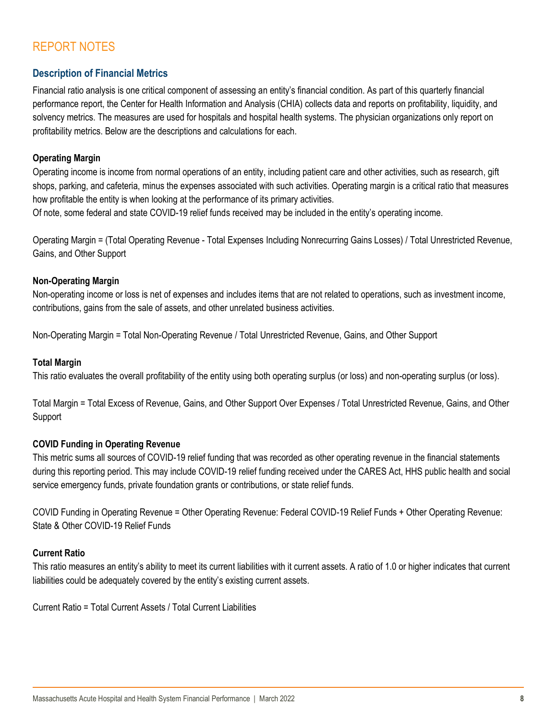# REPORT NOTES

## **Description of Financial Metrics**

Financial ratio analysis is one critical component of assessing an entity's financial condition. As part of this quarterly financial performance report, the Center for Health Information and Analysis (CHIA) collects data and reports on profitability, liquidity, and solvency metrics. The measures are used for hospitals and hospital health systems. The physician organizations only report on profitability metrics. Below are the descriptions and calculations for each.

## **Operating Margin**

Operating income is income from normal operations of an entity, including patient care and other activities, such as research, gift shops, parking, and cafeteria, minus the expenses associated with such activities. Operating margin is a critical ratio that measures how profitable the entity is when looking at the performance of its primary activities.

Of note, some federal and state COVID-19 relief funds received may be included in the entity's operating income.

Operating Margin = (Total Operating Revenue - Total Expenses Including Nonrecurring Gains Losses) / Total Unrestricted Revenue, Gains, and Other Support

## **Non-Operating Margin**

Non-operating income or loss is net of expenses and includes items that are not related to operations, such as investment income, contributions, gains from the sale of assets, and other unrelated business activities.

Non-Operating Margin = Total Non-Operating Revenue / Total Unrestricted Revenue, Gains, and Other Support

## **Total Margin**

This ratio evaluates the overall profitability of the entity using both operating surplus (or loss) and non-operating surplus (or loss).

Total Margin = Total Excess of Revenue, Gains, and Other Support Over Expenses / Total Unrestricted Revenue, Gains, and Other Support

## **COVID Funding in Operating Revenue**

This metric sums all sources of COVID-19 relief funding that was recorded as other operating revenue in the financial statements during this reporting period. This may include COVID-19 relief funding received under the CARES Act, HHS public health and social service emergency funds, private foundation grants or contributions, or state relief funds.

COVID Funding in Operating Revenue = Other Operating Revenue: Federal COVID-19 Relief Funds + Other Operating Revenue: State & Other COVID-19 Relief Funds

## **Current Ratio**

This ratio measures an entity's ability to meet its current liabilities with it current assets. A ratio of 1.0 or higher indicates that current liabilities could be adequately covered by the entity's existing current assets.

Current Ratio = Total Current Assets / Total Current Liabilities